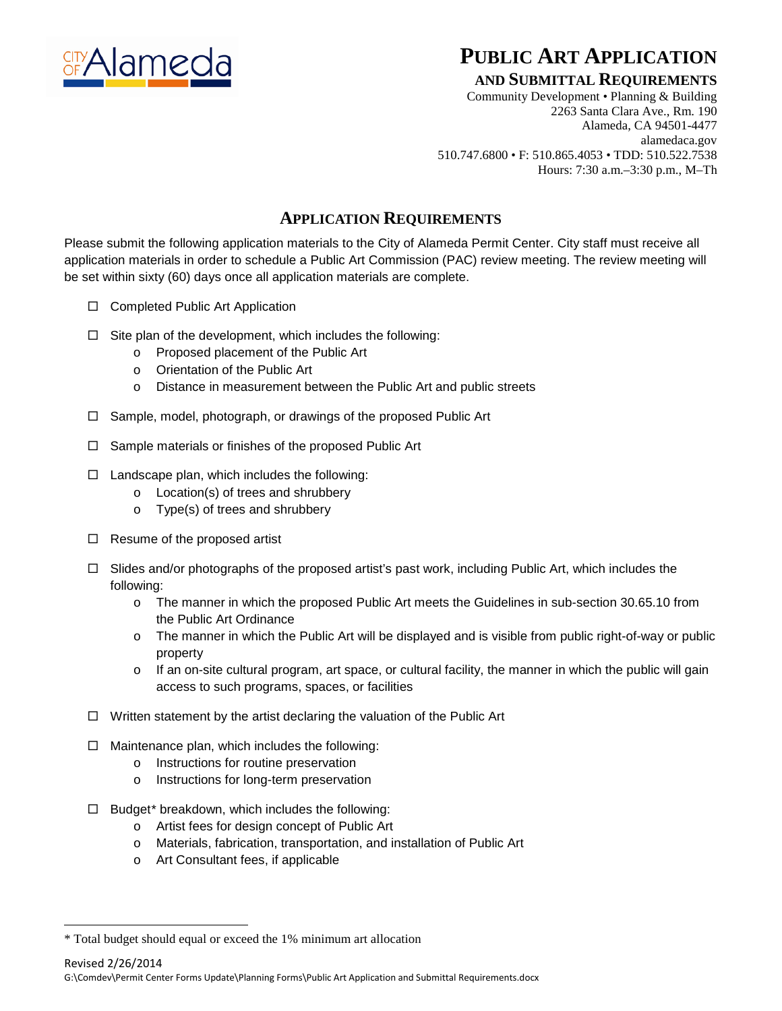

# **PUBLIC ART APPLICATION**

### **AND SUBMITTAL REQUIREMENTS**

Community Development • Planning & Building 2263 Santa Clara Ave., Rm. 190 Alameda, CA 94501-4477 alamedaca.gov 510.747.6800 • F: 510.865.4053 • TDD: 510.522.7538 Hours: 7:30 a.m.–3:30 p.m., M–Th

## **APPLICATION REQUIREMENTS**

Please submit the following application materials to the City of Alameda Permit Center. City staff must receive all application materials in order to schedule a Public Art Commission (PAC) review meeting. The review meeting will be set within sixty (60) days once all application materials are complete.

- $\Box$  Completed Public Art Application
- $\Box$  Site plan of the development, which includes the following:
	- o Proposed placement of the Public Art
	- o Orientation of the Public Art
	- o Distance in measurement between the Public Art and public streets
- $\Box$  Sample, model, photograph, or drawings of the proposed Public Art
- $\Box$  Sample materials or finishes of the proposed Public Art
- $\Box$  Landscape plan, which includes the following:
	- o Location(s) of trees and shrubbery
	- o Type(s) of trees and shrubbery
- $\Box$  Resume of the proposed artist
- $\Box$  Slides and/or photographs of the proposed artist's past work, including Public Art, which includes the following:
	- o The manner in which the proposed Public Art meets the Guidelines in sub-section 30.65.10 from the Public Art Ordinance
	- o The manner in which the Public Art will be displayed and is visible from public right-of-way or public property
	- o If an on-site cultural program, art space, or cultural facility, the manner in which the public will gain access to such programs, spaces, or facilities
- $\Box$  Written statement by the artist declaring the valuation of the Public Art
- $\Box$  Maintenance plan, which includes the following:
	- o Instructions for routine preservation
	- o Instructions for long-term preservation
- $\Box$  Budget[\\*](#page-0-0) breakdown, which includes the following:
	- o Artist fees for design concept of Public Art
	- o Materials, fabrication, transportation, and installation of Public Art
	- o Art Consultant fees, if applicable

 $\overline{a}$ 

Revised 2/26/2014 G:\Comdev\Permit Center Forms Update\Planning Forms\Public Art Application and Submittal Requirements.docx

<span id="page-0-0"></span><sup>\*</sup> Total budget should equal or exceed the 1% minimum art allocation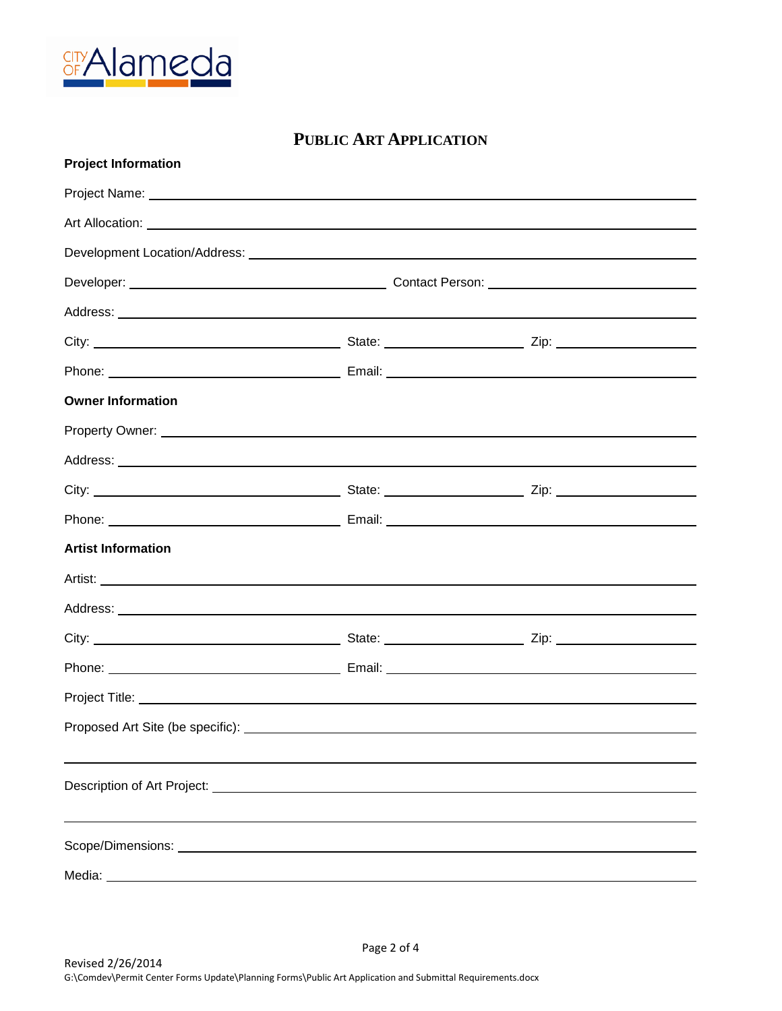

| <b>PUBLIC ART APPLICATION</b> |  |  |  |  |
|-------------------------------|--|--|--|--|
| <b>Project Information</b>    |  |  |  |  |
|                               |  |  |  |  |
|                               |  |  |  |  |
|                               |  |  |  |  |
|                               |  |  |  |  |
|                               |  |  |  |  |
|                               |  |  |  |  |
|                               |  |  |  |  |
| <b>Owner Information</b>      |  |  |  |  |
|                               |  |  |  |  |
|                               |  |  |  |  |
|                               |  |  |  |  |
|                               |  |  |  |  |
| <b>Artist Information</b>     |  |  |  |  |
|                               |  |  |  |  |
|                               |  |  |  |  |
|                               |  |  |  |  |
|                               |  |  |  |  |
|                               |  |  |  |  |
|                               |  |  |  |  |
|                               |  |  |  |  |
|                               |  |  |  |  |
|                               |  |  |  |  |
|                               |  |  |  |  |
|                               |  |  |  |  |

Page 2 of 4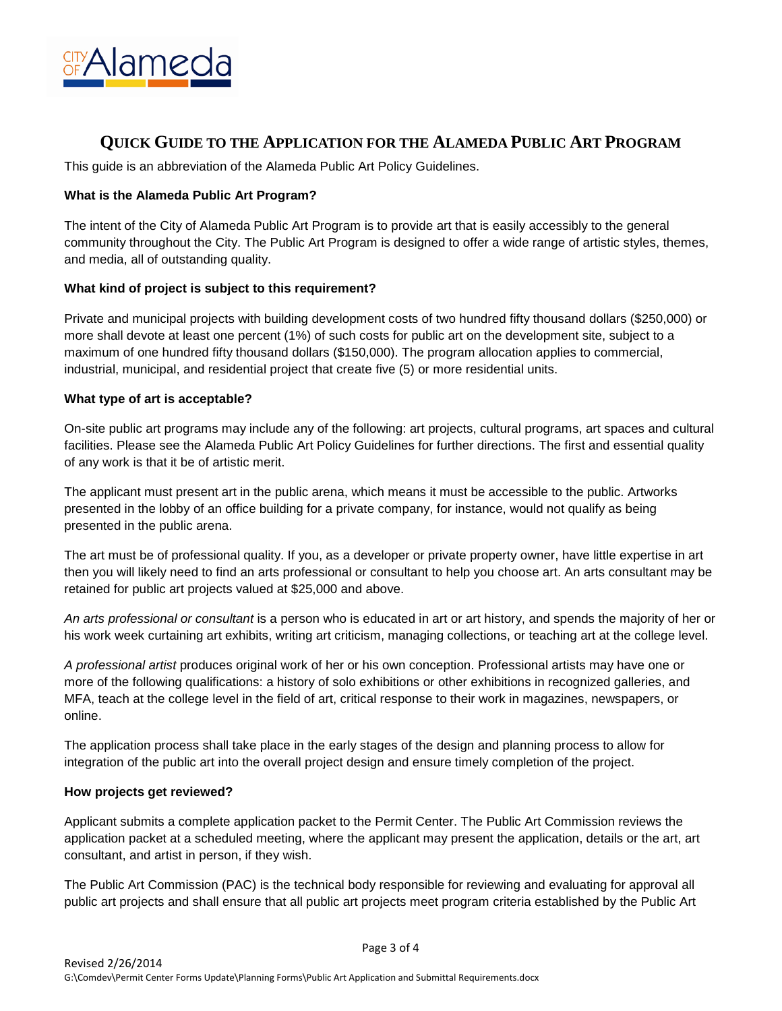

## **QUICK GUIDE TO THE APPLICATION FOR THE ALAMEDA PUBLIC ART PROGRAM**

This guide is an abbreviation of the Alameda Public Art Policy Guidelines.

#### **What is the Alameda Public Art Program?**

The intent of the City of Alameda Public Art Program is to provide art that is easily accessibly to the general community throughout the City. The Public Art Program is designed to offer a wide range of artistic styles, themes, and media, all of outstanding quality.

#### **What kind of project is subject to this requirement?**

Private and municipal projects with building development costs of two hundred fifty thousand dollars (\$250,000) or more shall devote at least one percent (1%) of such costs for public art on the development site, subject to a maximum of one hundred fifty thousand dollars (\$150,000). The program allocation applies to commercial, industrial, municipal, and residential project that create five (5) or more residential units.

#### **What type of art is acceptable?**

On-site public art programs may include any of the following: art projects, cultural programs, art spaces and cultural facilities. Please see the Alameda Public Art Policy Guidelines for further directions. The first and essential quality of any work is that it be of artistic merit.

The applicant must present art in the public arena, which means it must be accessible to the public. Artworks presented in the lobby of an office building for a private company, for instance, would not qualify as being presented in the public arena.

The art must be of professional quality. If you, as a developer or private property owner, have little expertise in art then you will likely need to find an arts professional or consultant to help you choose art. An arts consultant may be retained for public art projects valued at \$25,000 and above.

*An arts professional or consultant* is a person who is educated in art or art history, and spends the majority of her or his work week curtaining art exhibits, writing art criticism, managing collections, or teaching art at the college level.

*A professional artist* produces original work of her or his own conception. Professional artists may have one or more of the following qualifications: a history of solo exhibitions or other exhibitions in recognized galleries, and MFA, teach at the college level in the field of art, critical response to their work in magazines, newspapers, or online.

The application process shall take place in the early stages of the design and planning process to allow for integration of the public art into the overall project design and ensure timely completion of the project.

#### **How projects get reviewed?**

Applicant submits a complete application packet to the Permit Center. The Public Art Commission reviews the application packet at a scheduled meeting, where the applicant may present the application, details or the art, art consultant, and artist in person, if they wish.

The Public Art Commission (PAC) is the technical body responsible for reviewing and evaluating for approval all public art projects and shall ensure that all public art projects meet program criteria established by the Public Art